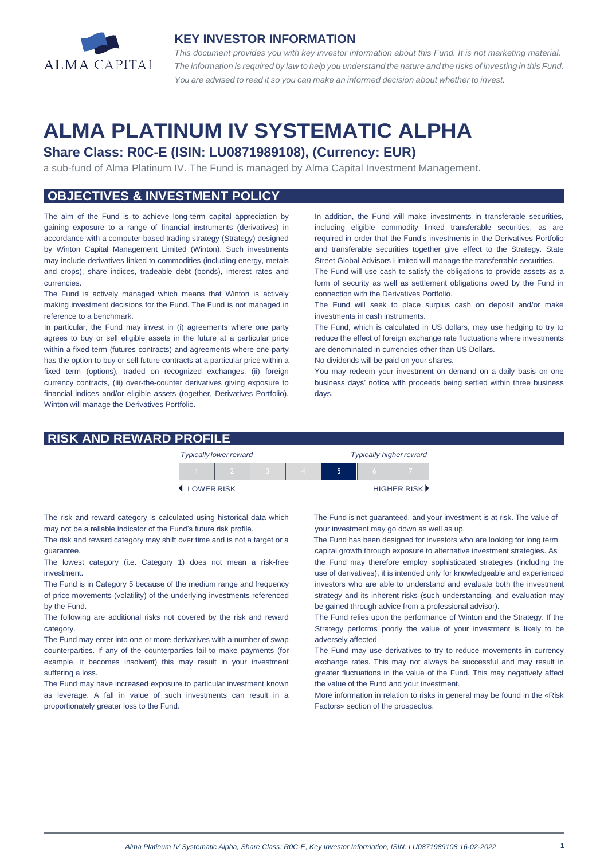

#### **KEY INVESTOR INFORMATION**

*This document provides you with key investor information about this Fund. It is not marketing material.*  The information is required by law to help you understand the nature and the risks of investing in this Fund. *You are advised to read it so you can make an informed decision about whether to invest.*

# **ALMA PLATINUM IV SYSTEMATIC ALPHA**

## **Share Class: R0C-E (ISIN: LU0871989108), (Currency: EUR)**

a sub-fund of Alma Platinum IV. The Fund is managed by Alma Capital Investment Management.

## **OBJECTIVES & INVESTMENT POLICY**

The aim of the Fund is to achieve long-term capital appreciation by gaining exposure to a range of financial instruments (derivatives) in accordance with a computer-based trading strategy (Strategy) designed by Winton Capital Management Limited (Winton). Such investments may include derivatives linked to commodities (including energy, metals and crops), share indices, tradeable debt (bonds), interest rates and currencies.

The Fund is actively managed which means that Winton is actively making investment decisions for the Fund. The Fund is not managed in reference to a benchmark.

In particular, the Fund may invest in (i) agreements where one party agrees to buy or sell eligible assets in the future at a particular price within a fixed term (futures contracts) and agreements where one party has the option to buy or sell future contracts at a particular price within a fixed term (options), traded on recognized exchanges, (ii) foreign currency contracts, (iii) over-the-counter derivatives giving exposure to financial indices and/or eligible assets (together, Derivatives Portfolio). Winton will manage the Derivatives Portfolio.

In addition, the Fund will make investments in transferable securities, including eligible commodity linked transferable securities, as are required in order that the Fund's investments in the Derivatives Portfolio and transferable securities together give effect to the Strategy. State Street Global Advisors Limited will manage the transferrable securities.

The Fund will use cash to satisfy the obligations to provide assets as a form of security as well as settlement obligations owed by the Fund in connection with the Derivatives Portfolio.

The Fund will seek to place surplus cash on deposit and/or make investments in cash instruments.

The Fund, which is calculated in US dollars, may use hedging to try to reduce the effect of foreign exchange rate fluctuations where investments are denominated in currencies other than US Dollars.

No dividends will be paid on your shares.

You may redeem your investment on demand on a daily basis on one business days' notice with proceeds being settled within three business days

#### **RISK AND REWARD PROFILE**

|                     | <b>Typically lower reward</b> |  | <b>Typically higher reward</b> |  |  |                      |
|---------------------|-------------------------------|--|--------------------------------|--|--|----------------------|
|                     |                               |  |                                |  |  |                      |
| <b>4 LOWER RISK</b> |                               |  |                                |  |  | <b>HIGHER RISK</b> ▶ |

The risk and reward category is calculated using historical data which may not be a reliable indicator of the Fund's future risk profile.

The risk and reward category may shift over time and is not a target or a guarantee.

The lowest category (i.e. Category 1) does not mean a risk-free investment.

The Fund is in Category 5 because of the medium range and frequency of price movements (volatility) of the underlying investments referenced by the Fund.

The following are additional risks not covered by the risk and reward category.

The Fund may enter into one or more derivatives with a number of swap counterparties. If any of the counterparties fail to make payments (for example, it becomes insolvent) this may result in your investment suffering a loss.

The Fund may have increased exposure to particular investment known as leverage. A fall in value of such investments can result in a proportionately greater loss to the Fund.

 The Fund is not guaranteed, and your investment is at risk. The value of your investment may go down as well as up.

 The Fund has been designed for investors who are looking for long term capital growth through exposure to alternative investment strategies. As the Fund may therefore employ sophisticated strategies (including the

use of derivatives), it is intended only for knowledgeable and experienced investors who are able to understand and evaluate both the investment strategy and its inherent risks (such understanding, and evaluation may be gained through advice from a professional advisor).

The Fund relies upon the performance of Winton and the Strategy. If the Strategy performs poorly the value of your investment is likely to be adversely affected.

The Fund may use derivatives to try to reduce movements in currency exchange rates. This may not always be successful and may result in greater fluctuations in the value of the Fund. This may negatively affect the value of the Fund and your investment.

More information in relation to risks in general may be found in the «Risk Factors» section of the prospectus.